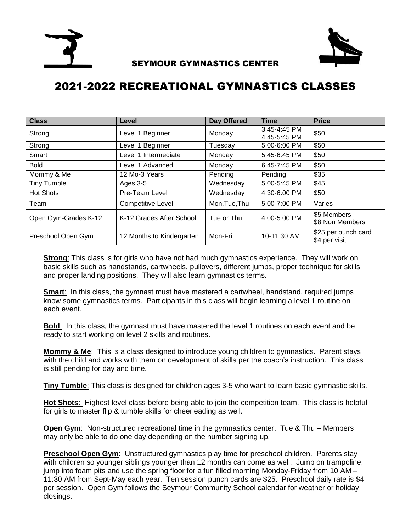



## SEYMOUR GYMNASTICS CENTER

## 2021-2022 RECREATIONAL GYMNASTICS CLASSES

| <b>Class</b>         | Level                     | Day Offered   | <b>Time</b>                  | <b>Price</b>                         |
|----------------------|---------------------------|---------------|------------------------------|--------------------------------------|
| Strong               | Level 1 Beginner          | Monday        | 3:45-4:45 PM<br>4:45-5:45 PM | \$50                                 |
| Strong               | Level 1 Beginner          | Tuesday       | 5:00-6:00 PM                 | \$50                                 |
| Smart                | Level 1 Intermediate      | Monday        | 5:45-6:45 PM                 | \$50                                 |
| <b>Bold</b>          | Level 1 Advanced          | Monday        | $6:45 - 7:45$ PM             | \$50                                 |
| Mommy & Me           | 12 Mo-3 Years             | Pending       | Pending                      | \$35                                 |
| <b>Tiny Tumble</b>   | Ages 3-5                  | Wednesday     | 5:00-5:45 PM                 | \$45                                 |
| <b>Hot Shots</b>     | Pre-Team Level            | Wednesday     | 4:30-6:00 PM                 | \$50                                 |
| Team                 | <b>Competitive Level</b>  | Mon, Tue, Thu | 5:00-7:00 PM                 | Varies                               |
| Open Gym-Grades K-12 | K-12 Grades After School  | Tue or Thu    | 4:00-5:00 PM                 | \$5 Members<br>\$8 Non Members       |
| Preschool Open Gym   | 12 Months to Kindergarten | Mon-Fri       | 10-11:30 AM                  | \$25 per punch card<br>\$4 per visit |

**Strong**: This class is for girls who have not had much gymnastics experience. They will work on basic skills such as handstands, cartwheels, pullovers, different jumps, proper technique for skills and proper landing positions. They will also learn gymnastics terms.

**Smart:** In this class, the gymnast must have mastered a cartwheel, handstand, required jumps know some gymnastics terms. Participants in this class will begin learning a level 1 routine on each event.

**Bold**: In this class, the gymnast must have mastered the level 1 routines on each event and be ready to start working on level 2 skills and routines.

**Mommy & Me:** This is a class designed to introduce young children to gymnastics. Parent stays with the child and works with them on development of skills per the coach's instruction. This class is still pending for day and time.

**Tiny Tumble**: This class is designed for children ages 3-5 who want to learn basic gymnastic skills.

**Hot Shots**: Highest level class before being able to join the competition team. This class is helpful for girls to master flip & tumble skills for cheerleading as well.

**Open Gym:** Non-structured recreational time in the gymnastics center. Tue & Thu – Members may only be able to do one day depending on the number signing up.

**Preschool Open Gym**: Unstructured gymnastics play time for preschool children. Parents stay with children so younger siblings younger than 12 months can come as well. Jump on trampoline, jump into foam pits and use the spring floor for a fun filled morning Monday-Friday from 10 AM – 11:30 AM from Sept-May each year. Ten session punch cards are \$25. Preschool daily rate is \$4 per session. Open Gym follows the Seymour Community School calendar for weather or holiday closings.